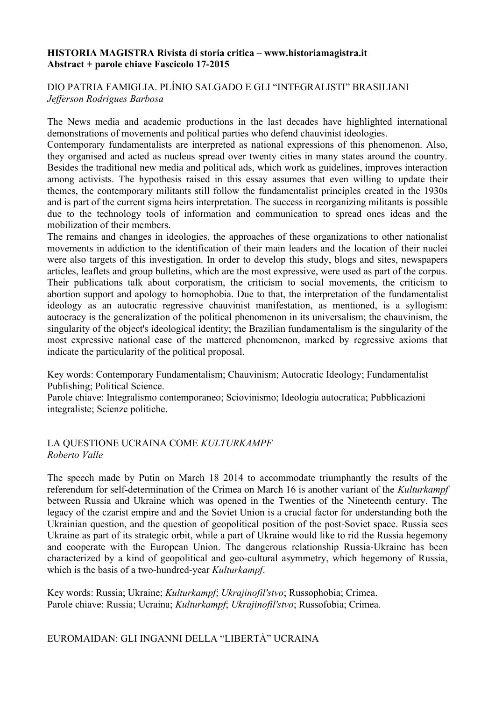#### **HISTORIA MAGISTRA Rivista di storia critica – www.historiamagistra.it Abstract + parole chiave Fascicolo 17-2015**

# DIO PATRIA FAMIGLIA. PLÍNIO SALGADO E GLI "INTEGRALISTI" BRASILIANI *Jefferson Rodrigues Barbosa*

The News media and academic productions in the last decades have highlighted international demonstrations of movements and political parties who defend chauvinist ideologies.

Contemporary fundamentalists are interpreted as national expressions of this phenomenon. Also, they organised and acted as nucleus spread over twenty cities in many states around the country. Besides the traditional new media and political ads, which work as guidelines, improves interaction among activists. The hypothesis raised in this essay assumes that even willing to update their themes, the contemporary militants still follow the fundamentalist principles created in the 1930s and is part of the current sigma heirs interpretation. The success in reorganizing militants is possible due to the technology tools of information and communication to spread ones ideas and the mobilization of their members.

The remains and changes in ideologies, the approaches of these organizations to other nationalist movements in addiction to the identification of their main leaders and the location of their nuclei were also targets of this investigation. In order to develop this study, blogs and sites, newspapers articles, leaflets and group bulletins, which are the most expressive, were used as part of the corpus. Their publications talk about corporatism, the criticism to social movements, the criticism to abortion support and apology to homophobia. Due to that, the interpretation of the fundamentalist ideology as an autocratic regressive chauvinist manifestation, as mentioned, is a syllogism: autocracy is the generalization of the political phenomenon in its universalism; the chauvinism, the singularity of the object's ideological identity; the Brazilian fundamentalism is the singularity of the most expressive national case of the mattered phenomenon, marked by regressive axioms that indicate the particularity of the political proposal.

Key words: Contemporary Fundamentalism; Chauvinism; Autocratic Ideology; Fundamentalist Publishing; Political Science.

Parole chiave: Integralismo contemporaneo; Sciovinismo; Ideologia autocratica; Pubblicazioni integraliste; Scienze politiche.

# LA QUESTIONE UCRAINA COME *KULTURKAMPF Roberto Valle*

The speech made by Putin on March 18 2014 to accommodate triumphantly the results of the referendum for self-determination of the Crimea on March 16 is another variant of the *Kulturkampf* between Russia and Ukraine which was opened in the Twenties of the Nineteenth century. The legacy of the czarist empire and and the Soviet Union is a crucial factor for understanding both the Ukrainian question, and the question of geopolitical position of the post-Soviet space. Russia sees Ukraine as part of its strategic orbit, while a part of Ukraine would like to rid the Russia hegemony and cooperate with the European Union. The dangerous relationship Russia-Ukraine has been characterized by a kind of geopolitical and geo-cultural asymmetry, which hegemony of Russia, which is the basis of a two-hundred-year *Kulturkampf*.

Key words: Russia; Ukraine; *Kulturkampf*; *Ukrajinofil'stvo*; Russophobia; Crimea. Parole chiave: Russia; Ucraina; *Kulturkampf*; *Ukrajinofil'stvo*; Russofobia; Crimea.

# EUROMAIDAN: GLI INGANNI DELLA "LIBERTÀ" UCRAINA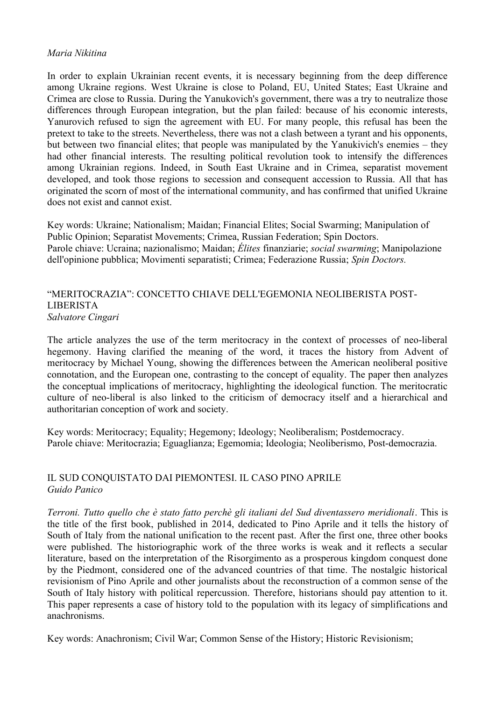#### *Maria Nikitina*

In order to explain Ukrainian recent events, it is necessary beginning from the deep difference among Ukraine regions. West Ukraine is close to Poland, EU, United States; East Ukraine and Crimea are close to Russia. During the Yanukovich's government, there was a try to neutralize those differences through European integration, but the plan failed: because of his economic interests, Yanurovich refused to sign the agreement with EU. For many people, this refusal has been the pretext to take to the streets. Nevertheless, there was not a clash between a tyrant and his opponents, but between two financial elites; that people was manipulated by the Yanukivich's enemies – they had other financial interests. The resulting political revolution took to intensify the differences among Ukrainian regions. Indeed, in South East Ukraine and in Crimea, separatist movement developed, and took those regions to secession and consequent accession to Russia. All that has originated the scorn of most of the international community, and has confirmed that unified Ukraine does not exist and cannot exist.

Key words: Ukraine; Nationalism; Maidan; Financial Elites; Social Swarming; Manipulation of Public Opinion; Separatist Movements; Crimea, Russian Federation; Spin Doctors. Parole chiave: Ucraina; nazionalismo; Maidan; *Élites* finanziarie; *social swarming*; Manipolazione dell'opinione pubblica; Movimenti separatisti; Crimea; Federazione Russia; *Spin Doctors.*

## "MERITOCRAZIA": CONCETTO CHIAVE DELL'EGEMONIA NEOLIBERISTA POST-LIBERISTA *Salvatore Cingari*

The article analyzes the use of the term meritocracy in the context of processes of neo-liberal hegemony. Having clarified the meaning of the word, it traces the history from Advent of meritocracy by Michael Young, showing the differences between the American neoliberal positive connotation, and the European one, contrasting to the concept of equality. The paper then analyzes the conceptual implications of meritocracy, highlighting the ideological function. The meritocratic culture of neo-liberal is also linked to the criticism of democracy itself and a hierarchical and authoritarian conception of work and society.

Key words: Meritocracy; Equality; Hegemony; Ideology; Neoliberalism; Postdemocracy. Parole chiave: Meritocrazia; Eguaglianza; Egemomia; Ideologia; Neoliberismo, Post-democrazia.

## IL SUD CONQUISTATO DAI PIEMONTESI. IL CASO PINO APRILE *Guido Panico*

*Terroni. Tutto quello che è stato fatto perchè gli italiani del Sud diventassero meridionali*. This is the title of the first book, published in 2014, dedicated to Pino Aprile and it tells the history of South of Italy from the national unification to the recent past. After the first one, three other books were published. The historiographic work of the three works is weak and it reflects a secular literature, based on the interpretation of the Risorgimento as a prosperous kingdom conquest done by the Piedmont, considered one of the advanced countries of that time. The nostalgic historical revisionism of Pino Aprile and other journalists about the reconstruction of a common sense of the South of Italy history with political repercussion. Therefore, historians should pay attention to it. This paper represents a case of history told to the population with its legacy of simplifications and anachronisms.

Key words: Anachronism; Civil War; Common Sense of the History; Historic Revisionism;